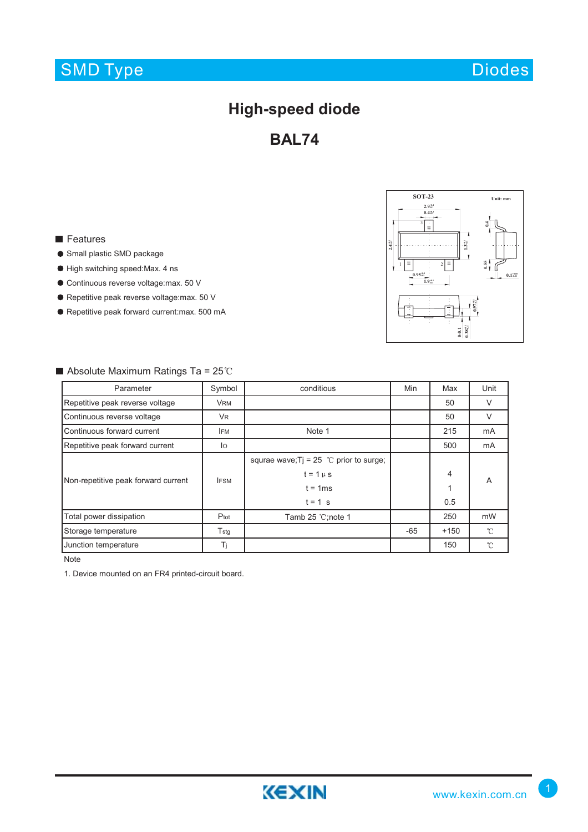## SMD Type

## **High-speed diode**

**BAL74**

#### **Features**

- **Small plastic SMD package**
- $\bullet$  High switching speed:Max. 4 ns
- Continuous reverse voltage:max. 50 V
- Repetitive peak reverse voltage: max. 50 V
- Repetitive peak forward current:max. 500 mA

Absolute Maximum Ratings Ta =  $25^{\circ}$ C



#### Parameter | Symbol | conditious Min | Max | Unit Repetitive peak reverse voltage VRM VRM 50 V Continuous reverse voltage VR VR SO V Continuous forward current IFM IFM Note 1 215 mA Repetitive peak forward current IO 500 mA squrae wave; Tj = 25  $^{\circ}$ C prior to surge;  $t = 1 \mu s$  4 Non-repetitive peak forward current IFSM IFSM A  $t = 1$ ms 1  $t = 1$  s 0.5 Total power dissipation **P**tot **Proted Tamb 25 °C;note 1** 250 mW Storage temperature Tstg Tstg Tstg Contact Tstg Contact Tstg Contact Tstg 1 -65 +150  $\mathcal{C}$ Junction temperature Ti Ti 150  $\mathcal{C}$

Note

1. Device mounted on an FR4 printed-circuit board.